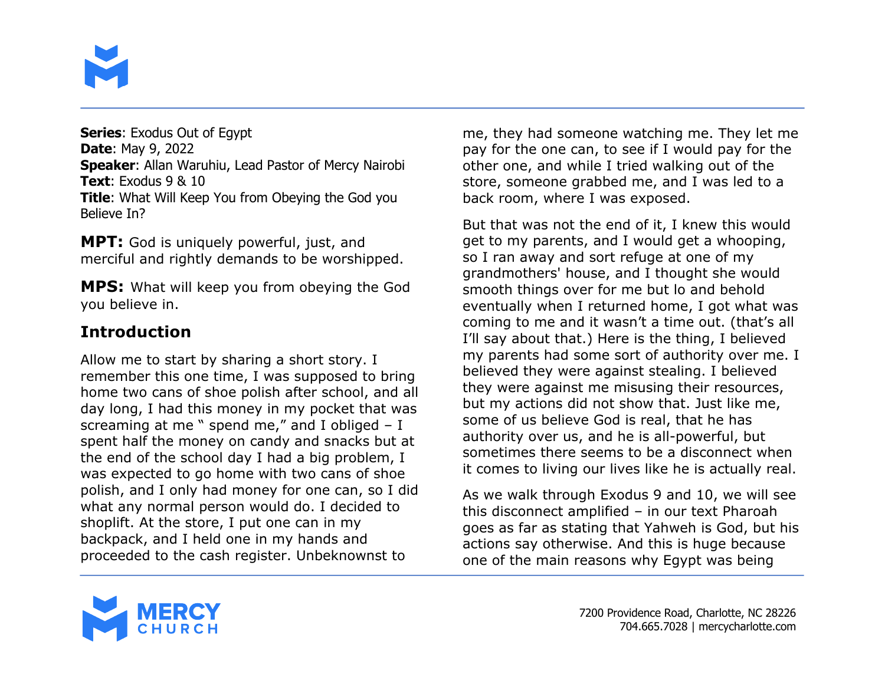

**Series**: Exodus Out of Egypt **Date**: May 9, 2022 **Speaker**: Allan Waruhiu, Lead Pastor of Mercy Nairobi **Text**: Exodus 9 & 10 **Title**: What Will Keep You from Obeying the God you Believe In?

**MPT:** God is uniquely powerful, just, and merciful and rightly demands to be worshipped.

**MPS:** What will keep you from obeying the God you believe in.

## **Introduction**

Allow me to start by sharing a short story. I remember this one time, I was supposed to bring home two cans of shoe polish after school, and all day long, I had this money in my pocket that was screaming at me  $"$  spend me," and I obliged  $- I$ spent half the money on candy and snacks but at the end of the school day I had a big problem, I was expected to go home with two cans of shoe polish, and I only had money for one can, so I did what any normal person would do. I decided to shoplift. At the store, I put one can in my backpack, and I held one in my hands and proceeded to the cash register. Unbeknownst to

me, they had someone watching me. They let me pay for the one can, to see if I would pay for the other one, and while I tried walking out of the store, someone grabbed me, and I was led to a back room, where I was exposed.

But that was not the end of it, I knew this would get to my parents, and I would get a whooping, so I ran away and sort refuge at one of my grandmothers' house, and I thought she would smooth things over for me but lo and behold eventually when I returned home, I got what was coming to me and it wasn't a time out. (that's all I'll say about that.) Here is the thing, I believed my parents had some sort of authority over me. I believed they were against stealing. I believed they were against me misusing their resources, but my actions did not show that. Just like me, some of us believe God is real, that he has authority over us, and he is all-powerful, but sometimes there seems to be a disconnect when it comes to living our lives like he is actually real.

As we walk through Exodus 9 and 10, we will see this disconnect amplified – in our text Pharoah goes as far as stating that Yahweh is God, but his actions say otherwise. And this is huge because one of the main reasons why Egypt was being

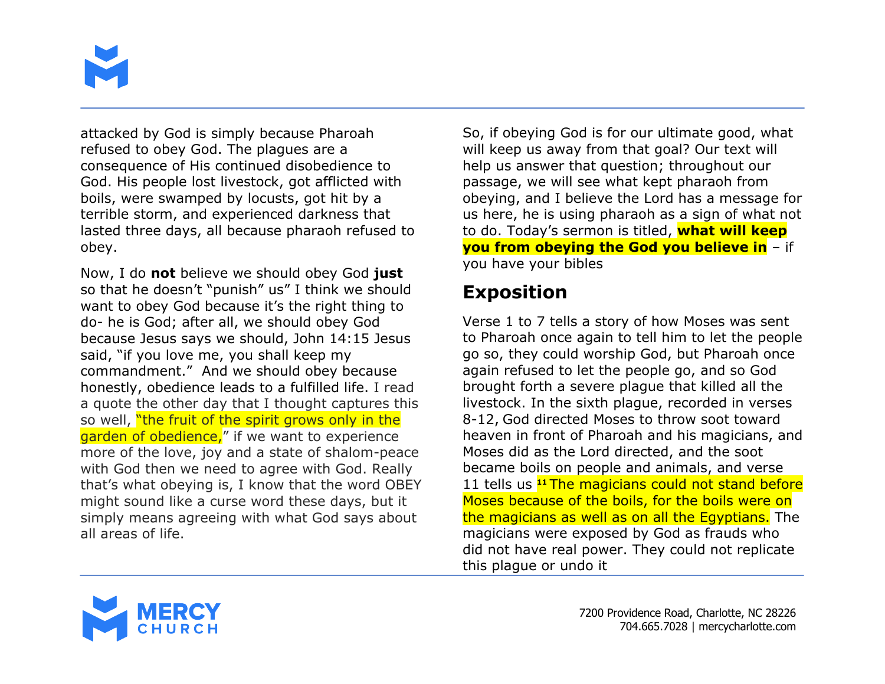

attacked by God is simply because Pharoah refused to obey God. The plagues are a consequence of His continued disobedience to God. His people lost livestock, got afflicted with boils, were swamped by locusts, got hit by a terrible storm, and experienced darkness that lasted three days, all because pharaoh refused to obey.

Now, I do **not** believe we should obey God **just** so that he doesn't "punish" us" I think we should want to obey God because it's the right thing to do- he is God; after all, we should obey God because Jesus says we should, John 14:15 Jesus said, "if you love me, you shall keep my commandment." And we should obey because honestly, obedience leads to a fulfilled life. I read a quote the other day that I thought captures this so well, "the fruit of the spirit grows only in the garden of obedience," if we want to experience more of the love, joy and a state of shalom-peace with God then we need to agree with God. Really that's what obeying is, I know that the word OBEY might sound like a curse word these days, but it simply means agreeing with what God says about all areas of life.

So, if obeying God is for our ultimate good, what will keep us away from that goal? Our text will help us answer that question; throughout our passage, we will see what kept pharaoh from obeying, and I believe the Lord has a message for us here, he is using pharaoh as a sign of what not to do. Today's sermon is titled, **what will keep you from obeying the God you believe in** – if you have your bibles

# **Exposition**

Verse 1 to 7 tells a story of how Moses was sent to Pharoah once again to tell him to let the people go so, they could worship God, but Pharoah once again refused to let the people go, and so God brought forth a severe plague that killed all the livestock. In the sixth plague, recorded in verses 8-12, God directed Moses to throw soot toward heaven in front of Pharoah and his magicians, and Moses did as the Lord directed, and the soot became boils on people and animals, and verse 11 tells us **<sup>11</sup>** The magicians could not stand before Moses because of the boils, for the boils were on the magicians as well as on all the Egyptians. The magicians were exposed by God as frauds who did not have real power. They could not replicate this plague or undo it

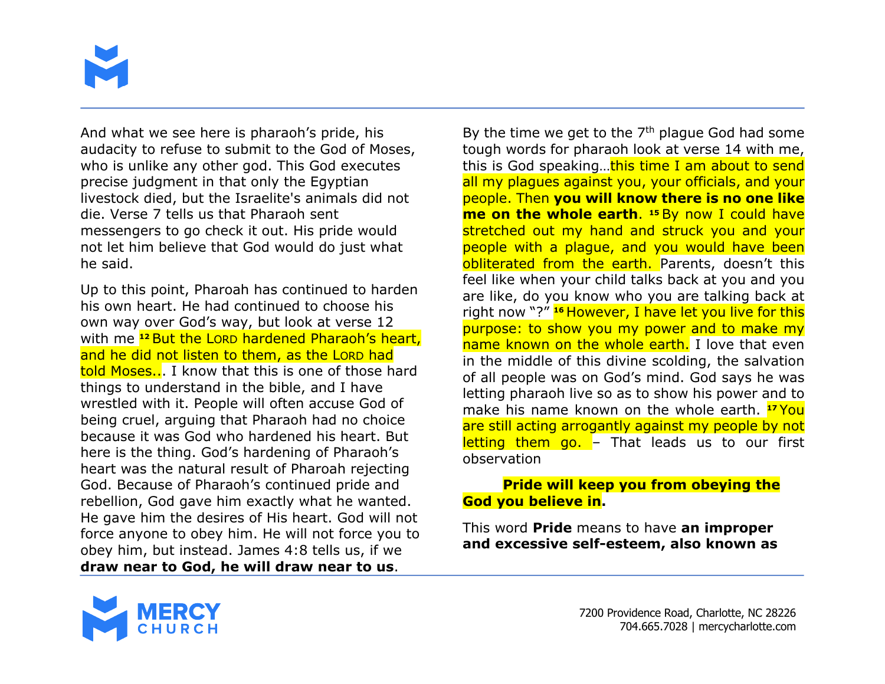

And what we see here is pharaoh's pride, his audacity to refuse to submit to the God of Moses, who is unlike any other god. This God executes precise judgment in that only the Egyptian livestock died, but the Israelite's animals did not die. Verse 7 tells us that Pharaoh sent messengers to go check it out. His pride would not let him believe that God would do just what he said.

Up to this point, Pharoah has continued to harden his own heart. He had continued to choose his own way over God's way, but look at verse 12 with me **<sup>12</sup>** But the LORD hardened Pharaoh's heart, and he did not listen to them, as the LORD had told Moses... I know that this is one of those hard things to understand in the bible, and I have wrestled with it. People will often accuse God of being cruel, arguing that Pharaoh had no choice because it was God who hardened his heart. But here is the thing. God's hardening of Pharaoh's heart was the natural result of Pharoah rejecting God. Because of Pharaoh's continued pride and rebellion, God gave him exactly what he wanted. He gave him the desires of His heart. God will not force anyone to obey him. He will not force you to obey him, but instead. James 4:8 tells us, if we **draw near to God, he will draw near to us**.

By the time we get to the  $7<sup>th</sup>$  plague God had some tough words for pharaoh look at verse 14 with me, this is God speaking...this time I am about to send all my plagues against you, your officials, and your people. Then **you will know there is no one like me on the whole earth**. **<sup>15</sup>** By now I could have stretched out my hand and struck you and your people with a plague, and you would have been obliterated from the earth. Parents, doesn't this feel like when your child talks back at you and you are like, do you know who you are talking back at right now "?" **<sup>16</sup>** However, I have let you live for this purpose: to show you my power and to make my name known on the whole earth. I love that even in the middle of this divine scolding, the salvation of all people was on God's mind. God says he was letting pharaoh live so as to show his power and to make his name known on the whole earth. **<sup>17</sup>** You are still acting arrogantly against my people by not letting them go. - That leads us to our first observation

#### **Pride will keep you from obeying the God you believe in.**

This word **Pride** means to have **an improper and excessive self-esteem, also known as** 

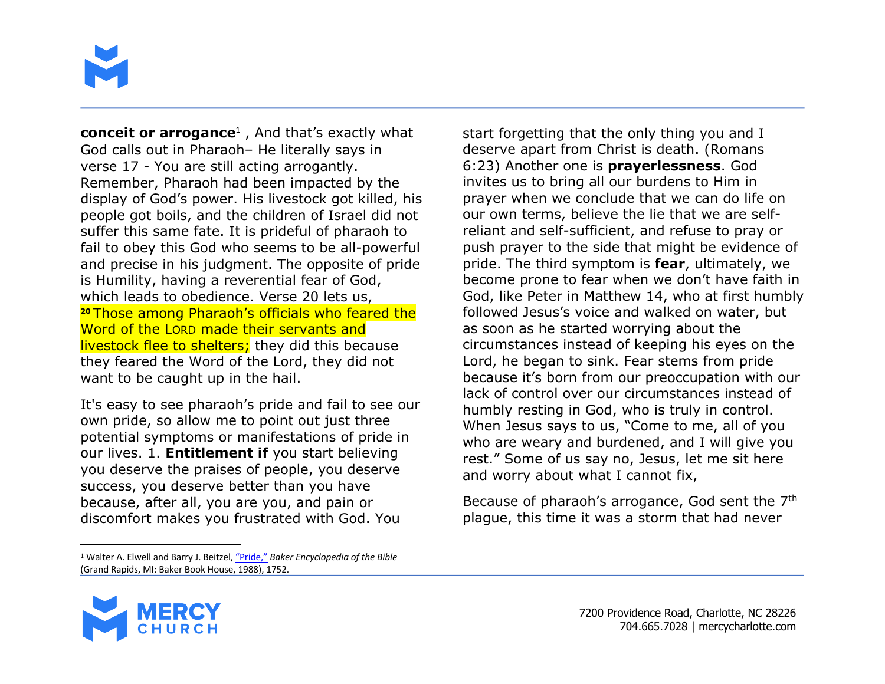

**conceit or arrogance**<sup>1</sup> , And that's exactly what God calls out in Pharaoh– He literally says in verse 17 - You are still acting arrogantly. Remember, Pharaoh had been impacted by the display of God's power. His livestock got killed, his people got boils, and the children of Israel did not suffer this same fate. It is prideful of pharaoh to fail to obey this God who seems to be all-powerful and precise in his judgment. The opposite of pride is Humility, having a reverential fear of God, which leads to obedience. Verse 20 lets us, **<sup>20</sup>** Those among Pharaoh's officials who feared the Word of the LORD made their servants and livestock flee to shelters; they did this because they feared the Word of the Lord, they did not want to be caught up in the hail.

It's easy to see pharaoh's pride and fail to see our own pride, so allow me to point out just three potential symptoms or manifestations of pride in our lives. 1. **Entitlement if** you start believing you deserve the praises of people, you deserve success, you deserve better than you have because, after all, you are you, and pain or discomfort makes you frustrated with God. You

start forgetting that the only thing you and I deserve apart from Christ is death. (Romans 6:23) Another one is **prayerlessness**. God invites us to bring all our burdens to Him in prayer when we conclude that we can do life on our own terms, believe the lie that we are selfreliant and self-sufficient, and refuse to pray or push prayer to the side that might be evidence of pride. The third symptom is **fear**, ultimately, we become prone to fear when we don't have faith in God, like Peter in Matthew 14, who at first humbly followed Jesus's voice and walked on water, but as soon as he started worrying about the circumstances instead of keeping his eyes on the Lord, he began to sink. Fear stems from pride because it's born from our preoccupation with our lack of control over our circumstances instead of humbly resting in God, who is truly in control. When Jesus says to us, "Come to me, all of you who are weary and burdened, and I will give you rest." Some of us say no, Jesus, let me sit here and worry about what I cannot fix,

Because of pharaoh's arrogance, God sent the 7<sup>th</sup> plague, this time it was a storm that had never

<sup>1</sup> Walter A. Elwell and Barry J. Beitzel, "Pride," *Baker Encyclopedia of the Bible* (Grand Rapids, MI: Baker Book House, 1988), 1752.

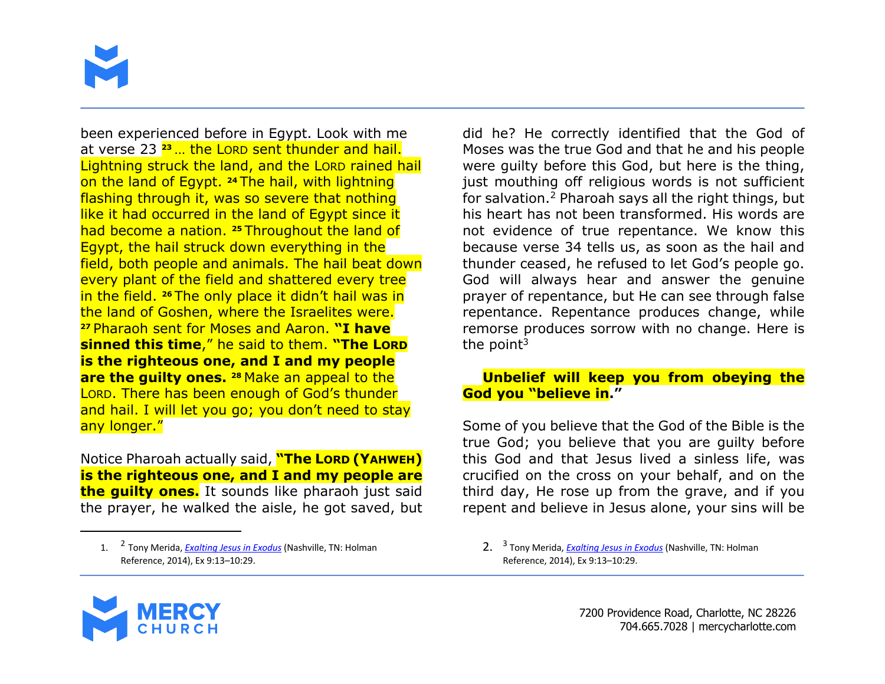

been experienced before in Egypt. Look with me at verse 23 **<sup>23</sup>** … the LORD sent thunder and hail. Lightning struck the land, and the LORD rained hail on the land of Egypt. **<sup>24</sup>** The hail, with lightning flashing through it, was so severe that nothing like it had occurred in the land of Egypt since it had become a nation. **<sup>25</sup>** Throughout the land of Egypt, the hail struck down everything in the field, both people and animals. The hail beat down every plant of the field and shattered every tree in the field. **<sup>26</sup>** The only place it didn't hail was in the land of Goshen, where the Israelites were. **<sup>27</sup>** Pharaoh sent for Moses and Aaron. **"I have sinned this time**," he said to them. **"The LORD is the righteous one, and I and my people are the quilty ones.** 28 Make an appeal to the LORD. There has been enough of God's thunder and hail. I will let you go; you don't need to stay any longer."

Notice Pharoah actually said, **"The LORD (YAHWEH) is the righteous one, and I and my people are the guilty ones.** It sounds like pharaoh just said the prayer, he walked the aisle, he got saved, but

did he? He correctly identified that the God of Moses was the true God and that he and his people were guilty before this God, but here is the thing, just mouthing off religious words is not sufficient for salvation.2 Pharoah says all the right things, but his heart has not been transformed. His words are not evidence of true repentance. We know this because verse 34 tells us, as soon as the hail and thunder ceased, he refused to let God's people go. God will always hear and answer the genuine prayer of repentance, but He can see through false repentance. Repentance produces change, while remorse produces sorrow with no change. Here is the point $3$ 

#### **Unbelief will keep you from obeying the God you "believe in."**

Some of you believe that the God of the Bible is the true God; you believe that you are guilty before this God and that Jesus lived a sinless life, was crucified on the cross on your behalf, and on the third day, He rose up from the grave, and if you repent and believe in Jesus alone, your sins will be



<sup>1.</sup> <sup>2</sup> Tony Merida, *Exalting Jesus in Exodus* (Nashville, TN: Holman Reference, 2014), Ex 9:13–10:29.

<sup>2.</sup> <sup>3</sup> Tony Merida, *Exalting Jesus in Exodus* (Nashville, TN: Holman Reference, 2014), Ex 9:13–10:29.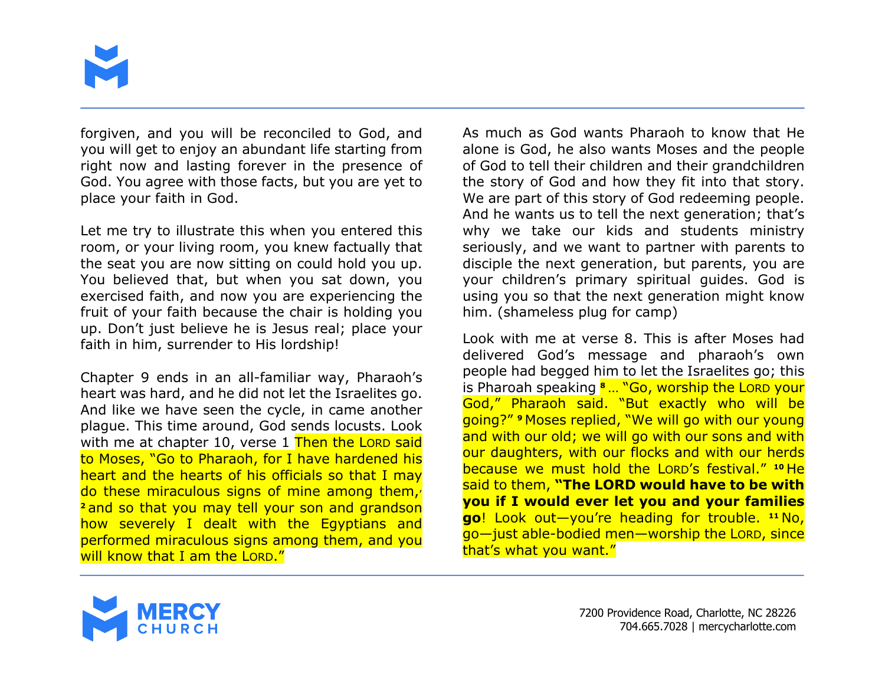

forgiven, and you will be reconciled to God, and you will get to enjoy an abundant life starting from right now and lasting forever in the presence of God. You agree with those facts, but you are yet to place your faith in God.

Let me try to illustrate this when you entered this room, or your living room, you knew factually that the seat you are now sitting on could hold you up. You believed that, but when you sat down, you exercised faith, and now you are experiencing the fruit of your faith because the chair is holding you up. Don't just believe he is Jesus real; place your faith in him, surrender to His lordship!

Chapter 9 ends in an all-familiar way, Pharaoh's heart was hard, and he did not let the Israelites go. And like we have seen the cycle, in came another plague. This time around, God sends locusts. Look with me at chapter 10, verse 1 Then the LORD said to Moses, "Go to Pharaoh, for I have hardened his heart and the hearts of his officials so that I may do these miraculous signs of mine among them, **<sup>2</sup>** and so that you may tell your son and grandson how severely I dealt with the Egyptians and performed miraculous signs among them, and you will know that I am the LORD."

As much as God wants Pharaoh to know that He alone is God, he also wants Moses and the people of God to tell their children and their grandchildren the story of God and how they fit into that story. We are part of this story of God redeeming people. And he wants us to tell the next generation; that's why we take our kids and students ministry seriously, and we want to partner with parents to disciple the next generation, but parents, you are your children's primary spiritual guides. God is using you so that the next generation might know him. (shameless plug for camp)

Look with me at verse 8. This is after Moses had delivered God's message and pharaoh's own people had begged him to let the Israelites go; this is Pharoah speaking **<sup>8</sup>** … "Go, worship the LORD your God," Pharaoh said. "But exactly who will be going?" **<sup>9</sup>** Moses replied, "We will go with our young and with our old; we will go with our sons and with our daughters, with our flocks and with our herds because we must hold the LORD's festival." **<sup>10</sup>** He said to them, **"The LORD would have to be with you if I would ever let you and your families go**! Look out—you're heading for trouble. **<sup>11</sup>** No, go—just able-bodied men—worship the LORD, since that's what you want."

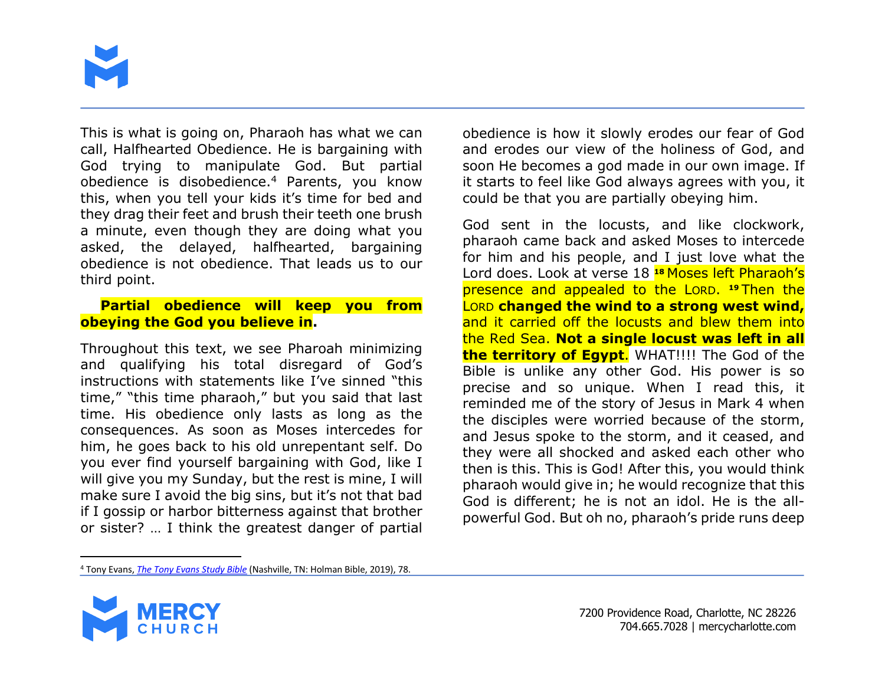

This is what is going on, Pharaoh has what we can call, Halfhearted Obedience. He is bargaining with God trying to manipulate God. But partial obedience is disobedience.4 Parents, you know this, when you tell your kids it's time for bed and they drag their feet and brush their teeth one brush a minute, even though they are doing what you asked, the delayed, halfhearted, bargaining obedience is not obedience. That leads us to our third point.

#### **Partial obedience will keep you from obeying the God you believe in.**

Throughout this text, we see Pharoah minimizing and qualifying his total disregard of God's instructions with statements like I've sinned "this time," "this time pharaoh," but you said that last time. His obedience only lasts as long as the consequences. As soon as Moses intercedes for him, he goes back to his old unrepentant self. Do you ever find yourself bargaining with God, like I will give you my Sunday, but the rest is mine, I will make sure I avoid the big sins, but it's not that bad if I gossip or harbor bitterness against that brother or sister? … I think the greatest danger of partial

obedience is how it slowly erodes our fear of God and erodes our view of the holiness of God, and soon He becomes a god made in our own image. If it starts to feel like God always agrees with you, it could be that you are partially obeying him.

God sent in the locusts, and like clockwork, pharaoh came back and asked Moses to intercede for him and his people, and I just love what the Lord does. Look at verse 18 **<sup>18</sup>** Moses left Pharaoh's presence and appealed to the LORD. **<sup>19</sup>** Then the LORD **changed the wind to a strong west wind,** and it carried off the locusts and blew them into the Red Sea. **Not a single locust was left in all the territory of Egypt**. WHAT!!!! The God of the Bible is unlike any other God. His power is so precise and so unique. When I read this, it reminded me of the story of Jesus in Mark 4 when the disciples were worried because of the storm, and Jesus spoke to the storm, and it ceased, and they were all shocked and asked each other who then is this. This is God! After this, you would think pharaoh would give in; he would recognize that this God is different; he is not an idol. He is the allpowerful God. But oh no, pharaoh's pride runs deep

<sup>4</sup> Tony Evans, *The Tony Evans Study Bible* (Nashville, TN: Holman Bible, 2019), 78.

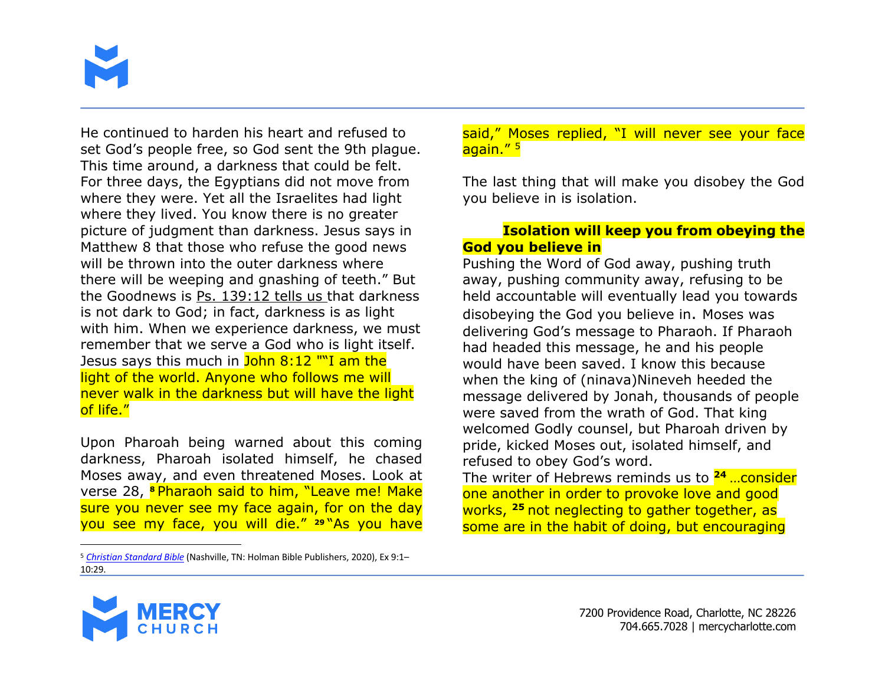

He continued to harden his heart and refused to set God's people free, so God sent the 9th plague. This time around, a darkness that could be felt. For three days, the Egyptians did not move from where they were. Yet all the Israelites had light where they lived. You know there is no greater picture of judgment than darkness. Jesus says in Matthew 8 that those who refuse the good news will be thrown into the outer darkness where there will be weeping and gnashing of teeth." But the Goodnews is Ps. 139:12 tells us that darkness is not dark to God; in fact, darkness is as light with him. When we experience darkness, we must remember that we serve a God who is light itself. Jesus says this much in John 8:12 ""I am the light of the world. Anyone who follows me will never walk in the darkness but will have the light of life."

Upon Pharoah being warned about this coming darkness, Pharoah isolated himself, he chased Moses away, and even threatened Moses. Look at verse 28, **<sup>8</sup>** Pharaoh said to him, "Leave me! Make sure you never see my face again, for on the day you see my face, you will die." **<sup>29</sup>** "As you have

said," Moses replied, "I will never see your face again." 5

The last thing that will make you disobey the God you believe in is isolation.

#### **Isolation will keep you from obeying the God you believe in**

Pushing the Word of God away, pushing truth away, pushing community away, refusing to be held accountable will eventually lead you towards disobeying the God you believe in. Moses was delivering God's message to Pharaoh. If Pharaoh had headed this message, he and his people would have been saved. I know this because when the king of (ninava)Nineveh heeded the message delivered by Jonah, thousands of people were saved from the wrath of God. That king welcomed Godly counsel, but Pharoah driven by pride, kicked Moses out, isolated himself, and refused to obey God's word.

The writer of Hebrews reminds us to **<sup>24</sup>** …consider one another in order to provoke love and good works, **<sup>25</sup>** not neglecting to gather together, as some are in the habit of doing, but encouraging



<sup>5</sup> *Christian Standard Bible* (Nashville, TN: Holman Bible Publishers, 2020), Ex 9:1– 10:29.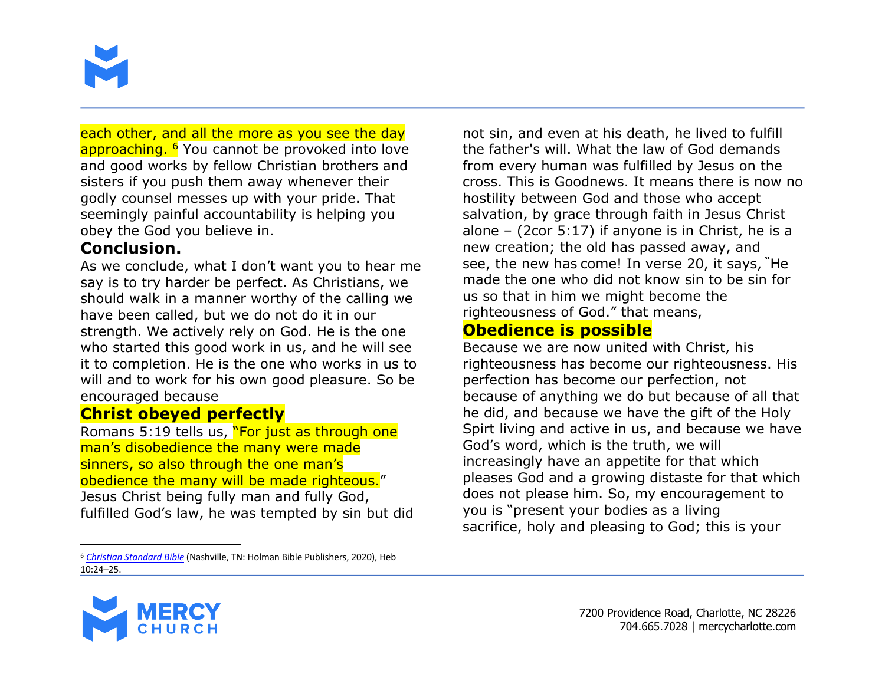

each other, and all the more as you see the day approaching. <sup>6</sup> You cannot be provoked into love and good works by fellow Christian brothers and sisters if you push them away whenever their godly counsel messes up with your pride. That seemingly painful accountability is helping you obey the God you believe in.

## **Conclusion.**

As we conclude, what I don't want you to hear me say is to try harder be perfect. As Christians, we should walk in a manner worthy of the calling we have been called, but we do not do it in our strength. We actively rely on God. He is the one who started this good work in us, and he will see it to completion. He is the one who works in us to will and to work for his own good pleasure. So be encouraged because

## **Christ obeyed perfectly**

Romans 5:19 tells us, "For just as through one man's disobedience the many were made sinners, so also through the one man's obedience the many will be made righteous." Jesus Christ being fully man and fully God, fulfilled God's law, he was tempted by sin but did

<sup>6</sup> *Christian Standard Bible* (Nashville, TN: Holman Bible Publishers, 2020), Heb 10:24–25.

not sin, and even at his death, he lived to fulfill the father's will. What the law of God demands from every human was fulfilled by Jesus on the cross. This is Goodnews. It means there is now no hostility between God and those who accept salvation, by grace through faith in Jesus Christ alone – (2cor 5:17) if anyone is in Christ, he is a new creation; the old has passed away, and see, the new has come! In verse 20, it says, **"**He made the one who did not know sin to be sin for us so that in him we might become the righteousness of God." that means,

## **Obedience is possible**

Because we are now united with Christ, his righteousness has become our righteousness. His perfection has become our perfection, not because of anything we do but because of all that he did, and because we have the gift of the Holy Spirt living and active in us, and because we have God's word, which is the truth, we will increasingly have an appetite for that which pleases God and a growing distaste for that which does not please him. So, my encouragement to you is "present your bodies as a living sacrifice, holy and pleasing to God; this is your